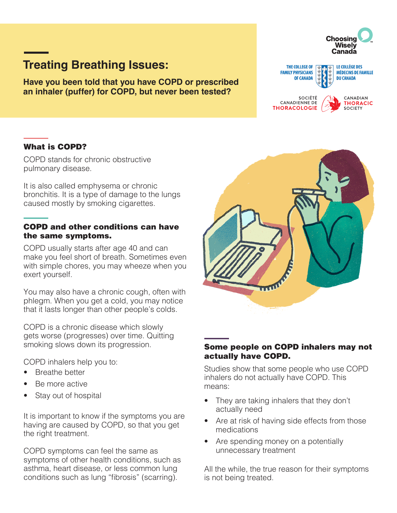# **Treating Breathing Issues:**

**Have you been told that you have COPD or prescribed an inhaler (puffer) for COPD, but never been tested?**

#### THE COLLEGE OF **LE COLLÈGE DES FAMILY PHYSICIANS MÉDECINS DE FAMILLE DU CANADA OF CANADA** SOCIÉTÉ CANADIAN CANADIENNE DE **THORACIC** SOCIETY **THORACOLOGIE**

**Choosing** Wisely Canada

# What is COPD?

COPD stands for chronic obstructive pulmonary disease.

It is also called emphysema or chronic bronchitis. It is a type of damage to the lungs caused mostly by smoking cigarettes.

#### COPD and other conditions can have the same symptoms.

COPD usually starts after age 40 and can make you feel short of breath. Sometimes even with simple chores, you may wheeze when you exert yourself.

You may also have a chronic cough, often with phlegm. When you get a cold, you may notice that it lasts longer than other people's colds.

COPD is a chronic disease which slowly gets worse (progresses) over time. Quitting smoking slows down its progression.

COPD inhalers help you to:

- Breathe better
- Be more active
- Stay out of hospital

It is important to know if the symptoms you are having are caused by COPD, so that you get the right treatment.

COPD symptoms can feel the same as symptoms of other health conditions, such as asthma, heart disease, or less common lung conditions such as lung "fibrosis" (scarring).



#### Some people on COPD inhalers may not actually have COPD.

Studies show that some people who use COPD inhalers do not actually have COPD. This means:

- They are taking inhalers that they don't actually need
- Are at risk of having side effects from those medications
- Are spending money on a potentially unnecessary treatment

All the while, the true reason for their symptoms is not being treated.